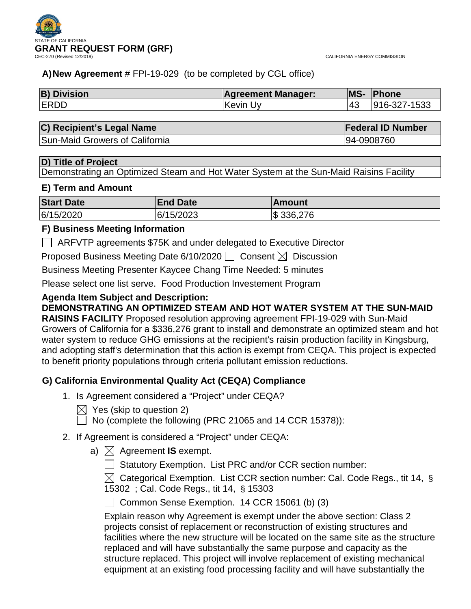



# **A)New Agreement** # FPI-19-029 (to be completed by CGL office)

| <b>B) Division</b> | <b>Agreement Manager:</b> | MS- | Phone        |
|--------------------|---------------------------|-----|--------------|
| <b>ERDD</b>        | ∣Kevin Uv                 |     | 916-327-1533 |

## **C) Recipient's Legal Name Federal ID Number**

Sun-Maid Growers of California 94-0908760

## **D) Title of Project**

Demonstrating an Optimized Steam and Hot Water System at the Sun-Maid Raisins Facility

## **E) Term and Amount**

| <b>Start Date</b> | <b>End Date</b> | <b>IAmount</b> |
|-------------------|-----------------|----------------|
| 6/15/2020         | 6/15/2023       | \$336,276      |

## **F) Business Meeting Information**

ARFVTP agreements \$75K and under delegated to Executive Director

Proposed Business Meeting Date 6/10/2020  $\Box$  Consent  $\boxtimes$  Discussion

Business Meeting Presenter Kaycee Chang Time Needed: 5 minutes

Please select one list serve. Food Production Investement Program

# **Agenda Item Subject and Description:**

**DEMONSTRATING AN OPTIMIZED STEAM AND HOT WATER SYSTEM AT THE SUN-MAID** 

**RAISINS FACILITY** Proposed resolution approving agreement FPI-19-029 with Sun-Maid Growers of California for a \$336,276 grant to install and demonstrate an optimized steam and hot water system to reduce GHG emissions at the recipient's raisin production facility in Kingsburg, and adopting staff's determination that this action is exempt from CEQA. This project is expected to benefit priority populations through criteria pollutant emission reductions.

# **G) California Environmental Quality Act (CEQA) Compliance**

- 1. Is Agreement considered a "Project" under CEQA?
	- $\boxtimes$  Yes (skip to question 2)
		- No (complete the following (PRC 21065 and 14 CCR 15378)):

# 2. If Agreement is considered a "Project" under CEQA:

a)  $\boxtimes$  Agreement **IS** exempt.

Statutory Exemption. List PRC and/or CCR section number:

 $\boxtimes$  Categorical Exemption. List CCR section number: Cal. Code Regs., tit 14, § 15302 ; Cal. Code Regs., tit 14, § 15303

 $\Box$  Common Sense Exemption. 14 CCR 15061 (b) (3)

Explain reason why Agreement is exempt under the above section: Class 2 projects consist of replacement or reconstruction of existing structures and facilities where the new structure will be located on the same site as the structure replaced and will have substantially the same purpose and capacity as the structure replaced. This project will involve replacement of existing mechanical equipment at an existing food processing facility and will have substantially the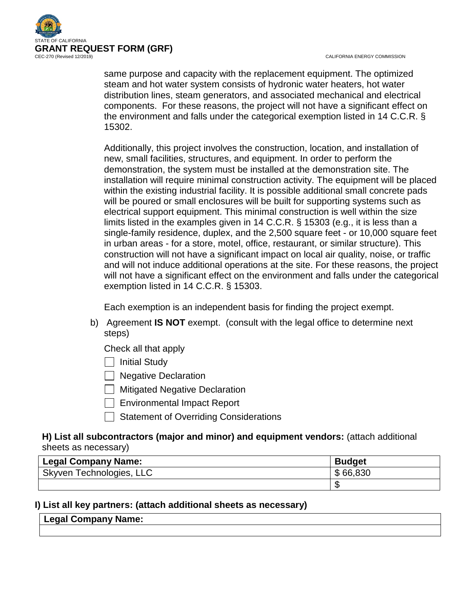

CALIFORNIA ENERGY COMMISSION

same purpose and capacity with the replacement equipment. The optimized steam and hot water system consists of hydronic water heaters, hot water distribution lines, steam generators, and associated mechanical and electrical components. For these reasons, the project will not have a significant effect on the environment and falls under the categorical exemption listed in 14 C.C.R. § 15302.

Additionally, this project involves the construction, location, and installation of new, small facilities, structures, and equipment. In order to perform the demonstration, the system must be installed at the demonstration site. The installation will require minimal construction activity. The equipment will be placed within the existing industrial facility. It is possible additional small concrete pads will be poured or small enclosures will be built for supporting systems such as electrical support equipment. This minimal construction is well within the size limits listed in the examples given in 14 C.C.R. § 15303 (e.g., it is less than a single-family residence, duplex, and the 2,500 square feet - or 10,000 square feet in urban areas - for a store, motel, office, restaurant, or similar structure). This construction will not have a significant impact on local air quality, noise, or traffic and will not induce additional operations at the site. For these reasons, the project will not have a significant effect on the environment and falls under the categorical exemption listed in 14 C.C.R. § 15303.

Each exemption is an independent basis for finding the project exempt.

- b) Agreement **IS NOT** exempt. (consult with the legal office to determine next steps)
	- Check all that apply
	- $\Box$  Initial Study
	- **Negative Declaration**
	- $\Box$  Mitigated Negative Declaration
	- Environmental Impact Report
	- Statement of Overriding Considerations

## **H) List all subcontractors (major and minor) and equipment vendors:** (attach additional sheets as necessary)

| <b>Legal Company Name:</b> | <b>Budget</b> |
|----------------------------|---------------|
| Skyven Technologies, LLC   | \$66,830      |
|                            |               |

# **I) List all key partners: (attach additional sheets as necessary)**

# **Legal Company Name:**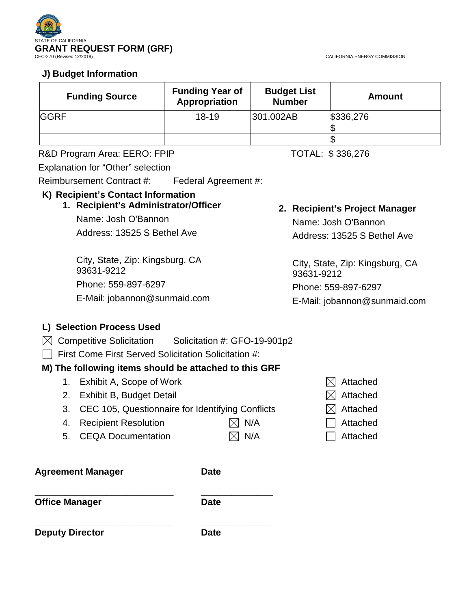

CALIFORNIA ENERGY COMMISSION

# **J) Budget Information**

| <b>Funding Source</b> | <b>Funding Year of</b><br>Appropriation | <b>Budget List</b><br><b>Number</b> | Amount    |
|-----------------------|-----------------------------------------|-------------------------------------|-----------|
| <b>GGRF</b>           | $18 - 19$                               | 301.002AB                           | \$336,276 |
|                       |                                         |                                     |           |
|                       |                                         |                                     |           |

## R&D Program Area: EERO: FPIP TOTAL: \$336,276

Explanation for "Other" selection

Reimbursement Contract #: Federal Agreement #:

# **K) Recipient's Contact Information**

# **1. Recipient's Administrator/Officer** Name: Josh O'Bannon

Address: 13525 S Bethel Ave

City, State, Zip: Kingsburg, CA 93631-9212 Phone: 559-897-6297 E-Mail: jobannon@sunmaid.com

# **2. Recipient's Project Manager**

Name: Josh O'Bannon Address: 13525 S Bethel Ave

City, State, Zip: Kingsburg, CA 93631-9212 Phone: 559-897-6297

E-Mail: jobannon@sunmaid.com

# **L) Selection Process Used**

- $\boxtimes$  Competitive Solicitation Solicitation #: GFO-19-901p2
- First Come First Served Solicitation Solicitation #:

# **M) The following items should be attached to this GRF**

- 1. Exhibit A, Scope of Work  $\boxtimes$  Attached
- 2. Exhibit B, Budget Detail  $\boxtimes$  Attached
- 3. CEC 105, Questionnaire for Identifying Conflicts  $\boxtimes$  Attached
- 4. Recipient Resolution  $\boxtimes$  N/A  $\Box$  Attached
- 5. CEQA Documentation  $\boxtimes$  N/A  $\Box$  Attached

**Agreement Manager Date**

**\_\_\_\_\_\_\_\_\_\_\_\_\_\_\_\_\_\_\_\_\_\_\_\_\_\_\_ \_\_\_\_\_\_\_\_\_\_\_\_\_\_**

**\_\_\_\_\_\_\_\_\_\_\_\_\_\_\_\_\_\_\_\_\_\_\_\_\_\_\_ \_\_\_\_\_\_\_\_\_\_\_\_\_\_ Office Manager Date** 

**\_\_\_\_\_\_\_\_\_\_\_\_\_\_\_\_\_\_\_\_\_\_\_\_\_\_\_ \_\_\_\_\_\_\_\_\_\_\_\_\_\_ Deputy Director Date** 

- 
- 
- 
- 
-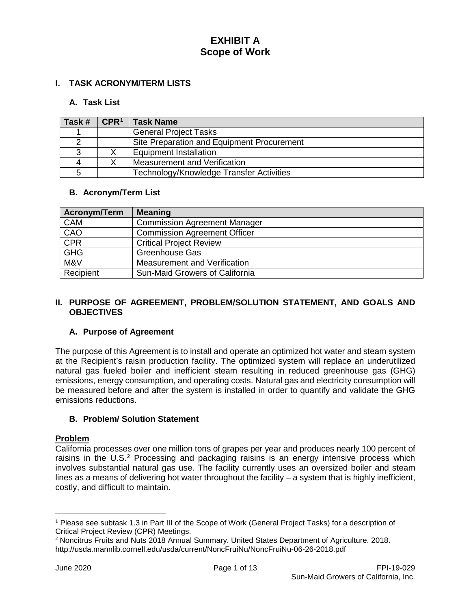## **I. TASK ACRONYM/TERM LISTS**

## **A. Task List**

| Task # | $\mathsf{CPR}^1$ | <b>Task Name</b>                           |
|--------|------------------|--------------------------------------------|
|        |                  | <b>General Project Tasks</b>               |
|        |                  | Site Preparation and Equipment Procurement |
|        |                  | Equipment Installation                     |
| Δ      |                  | Measurement and Verification               |
|        |                  | Technology/Knowledge Transfer Activities   |

## **B. Acronym/Term List**

| Acronym/Term | <b>Meaning</b>                      |
|--------------|-------------------------------------|
| <b>CAM</b>   | <b>Commission Agreement Manager</b> |
| CAO          | <b>Commission Agreement Officer</b> |
| CPR          | <b>Critical Project Review</b>      |
| <b>GHG</b>   | <b>Greenhouse Gas</b>               |
| M&V          | Measurement and Verification        |
| Recipient    | Sun-Maid Growers of California      |

### **II. PURPOSE OF AGREEMENT, PROBLEM/SOLUTION STATEMENT, AND GOALS AND OBJECTIVES**

## **A. Purpose of Agreement**

The purpose of this Agreement is to install and operate an optimized hot water and steam system at the Recipient's raisin production facility. The optimized system will replace an underutilized natural gas fueled boiler and inefficient steam resulting in reduced greenhouse gas (GHG) emissions, energy consumption, and operating costs. Natural gas and electricity consumption will be measured before and after the system is installed in order to quantify and validate the GHG emissions reductions.

## **B. Problem/ Solution Statement**

### **Problem**

California processes over one million tons of grapes per year and produces nearly 100 percent of raisins in the U.S.<sup>[2](#page-3-1)</sup> Processing and packaging raisins is an energy intensive process which involves substantial natural gas use. The facility currently uses an oversized boiler and steam lines as a means of delivering hot water throughout the facility – a system that is highly inefficient, costly, and difficult to maintain.

 $\overline{a}$ 

<span id="page-3-0"></span><sup>1</sup> Please see subtask 1.3 in Part III of the Scope of Work (General Project Tasks) for a description of Critical Project Review (CPR) Meetings.

<span id="page-3-1"></span><sup>2</sup> Noncitrus Fruits and Nuts 2018 Annual Summary. United States Department of Agriculture. 2018. http://usda.mannlib.cornell.edu/usda/current/NoncFruiNu/NoncFruiNu-06-26-2018.pdf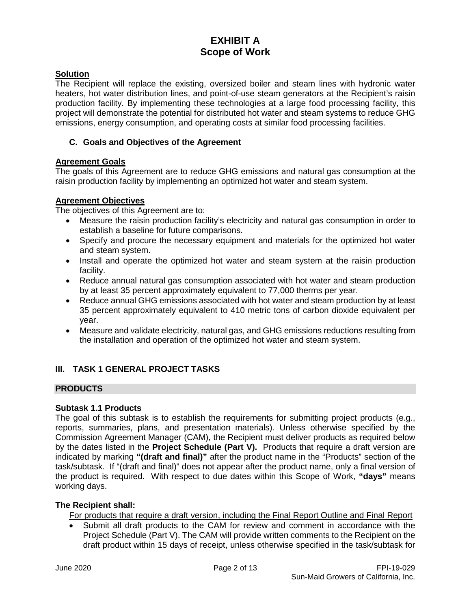## **Solution**

The Recipient will replace the existing, oversized boiler and steam lines with hydronic water heaters, hot water distribution lines, and point-of-use steam generators at the Recipient's raisin production facility. By implementing these technologies at a large food processing facility, this project will demonstrate the potential for distributed hot water and steam systems to reduce GHG emissions, energy consumption, and operating costs at similar food processing facilities.

## **C. Goals and Objectives of the Agreement**

## **Agreement Goals**

The goals of this Agreement are to reduce GHG emissions and natural gas consumption at the raisin production facility by implementing an optimized hot water and steam system.

## **Agreement Objectives**

The objectives of this Agreement are to:

- Measure the raisin production facility's electricity and natural gas consumption in order to establish a baseline for future comparisons.
- Specify and procure the necessary equipment and materials for the optimized hot water and steam system.
- Install and operate the optimized hot water and steam system at the raisin production facility.
- Reduce annual natural gas consumption associated with hot water and steam production by at least 35 percent approximately equivalent to 77,000 therms per year.
- Reduce annual GHG emissions associated with hot water and steam production by at least 35 percent approximately equivalent to 410 metric tons of carbon dioxide equivalent per year.
- Measure and validate electricity, natural gas, and GHG emissions reductions resulting from the installation and operation of the optimized hot water and steam system.

## **III. TASK 1 GENERAL PROJECT TASKS**

## **PRODUCTS**

## **Subtask 1.1 Products**

The goal of this subtask is to establish the requirements for submitting project products (e.g., reports, summaries, plans, and presentation materials). Unless otherwise specified by the Commission Agreement Manager (CAM), the Recipient must deliver products as required below by the dates listed in the **Project Schedule (Part V).** Products that require a draft version are indicated by marking **"(draft and final)"** after the product name in the "Products" section of the task/subtask. If "(draft and final)" does not appear after the product name, only a final version of the product is required. With respect to due dates within this Scope of Work, **"days"** means working days.

## **The Recipient shall:**

For products that require a draft version, including the Final Report Outline and Final Report

• Submit all draft products to the CAM for review and comment in accordance with the Project Schedule (Part V). The CAM will provide written comments to the Recipient on the draft product within 15 days of receipt, unless otherwise specified in the task/subtask for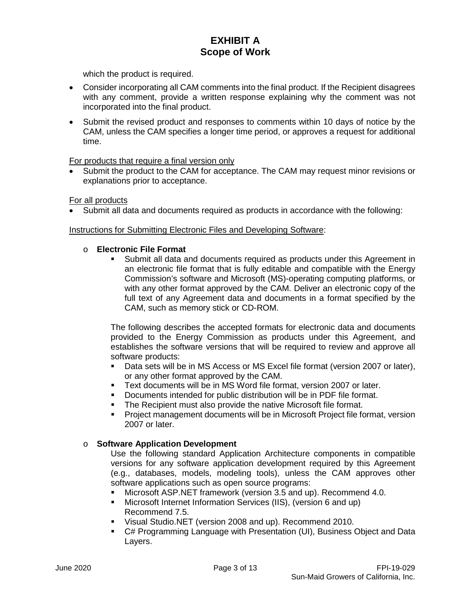which the product is required.

- Consider incorporating all CAM comments into the final product. If the Recipient disagrees with any comment, provide a written response explaining why the comment was not incorporated into the final product.
- Submit the revised product and responses to comments within 10 days of notice by the CAM, unless the CAM specifies a longer time period, or approves a request for additional time.

### For products that require a final version only

• Submit the product to the CAM for acceptance. The CAM may request minor revisions or explanations prior to acceptance.

For all products

• Submit all data and documents required as products in accordance with the following:

### Instructions for Submitting Electronic Files and Developing Software:

- o **Electronic File Format**
	- Submit all data and documents required as products under this Agreement in an electronic file format that is fully editable and compatible with the Energy Commission's software and Microsoft (MS)-operating computing platforms, or with any other format approved by the CAM. Deliver an electronic copy of the full text of any Agreement data and documents in a format specified by the CAM, such as memory stick or CD-ROM.

The following describes the accepted formats for electronic data and documents provided to the Energy Commission as products under this Agreement, and establishes the software versions that will be required to review and approve all software products:

- Data sets will be in MS Access or MS Excel file format (version 2007 or later), or any other format approved by the CAM.
- Text documents will be in MS Word file format, version 2007 or later.
- Documents intended for public distribution will be in PDF file format.
- **The Recipient must also provide the native Microsoft file format.**
- Project management documents will be in Microsoft Project file format, version 2007 or later.

## o **Software Application Development**

Use the following standard Application Architecture components in compatible versions for any software application development required by this Agreement (e.g., databases, models, modeling tools), unless the CAM approves other software applications such as open source programs:

- Microsoft ASP.NET framework (version 3.5 and up). Recommend 4.0.
- Microsoft Internet Information Services (IIS), (version 6 and up) Recommend 7.5.
- Visual Studio.NET (version 2008 and up). Recommend 2010.
- C# Programming Language with Presentation (UI), Business Object and Data Layers.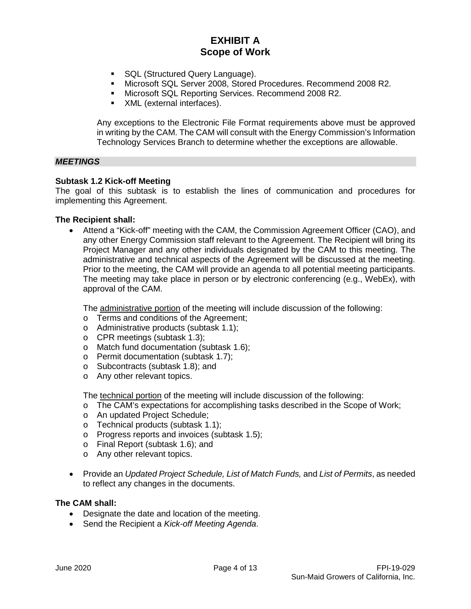- **SQL (Structured Query Language).**
- Microsoft SQL Server 2008, Stored Procedures. Recommend 2008 R2.<br>• Microsoft SQL Reporting Services. Recommend 2008 R2.
- Microsoft SQL Reporting Services. Recommend 2008 R2.
- **XML** (external interfaces).

Any exceptions to the Electronic File Format requirements above must be approved in writing by the CAM. The CAM will consult with the Energy Commission's Information Technology Services Branch to determine whether the exceptions are allowable.

### *MEETINGS*

#### **Subtask 1.2 Kick-off Meeting**

The goal of this subtask is to establish the lines of communication and procedures for implementing this Agreement.

#### **The Recipient shall:**

• Attend a "Kick-off" meeting with the CAM, the Commission Agreement Officer (CAO), and any other Energy Commission staff relevant to the Agreement. The Recipient will bring its Project Manager and any other individuals designated by the CAM to this meeting. The administrative and technical aspects of the Agreement will be discussed at the meeting. Prior to the meeting, the CAM will provide an agenda to all potential meeting participants. The meeting may take place in person or by electronic conferencing (e.g., WebEx), with approval of the CAM.

The administrative portion of the meeting will include discussion of the following:

- o Terms and conditions of the Agreement;
- o Administrative products (subtask 1.1);
- o CPR meetings (subtask 1.3);
- o Match fund documentation (subtask 1.6);
- o Permit documentation (subtask 1.7);
- o Subcontracts (subtask 1.8); and
- o Any other relevant topics.

The technical portion of the meeting will include discussion of the following:

- o The CAM's expectations for accomplishing tasks described in the Scope of Work;
- o An updated Project Schedule;
- o Technical products (subtask 1.1);
- o Progress reports and invoices (subtask 1.5);
- o Final Report (subtask 1.6); and
- o Any other relevant topics.
- Provide an *Updated Project Schedule, List of Match Funds,* and *List of Permits*, as needed to reflect any changes in the documents.

### **The CAM shall:**

- Designate the date and location of the meeting.
- Send the Recipient a *Kick-off Meeting Agenda*.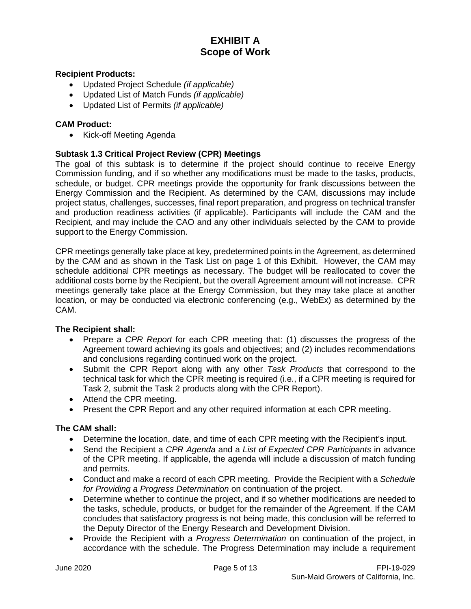### **Recipient Products:**

- Updated Project Schedule *(if applicable)*
- Updated List of Match Funds *(if applicable)*
- Updated List of Permits *(if applicable)*

### **CAM Product:**

• Kick-off Meeting Agenda

### **Subtask 1.3 Critical Project Review (CPR) Meetings**

The goal of this subtask is to determine if the project should continue to receive Energy Commission funding, and if so whether any modifications must be made to the tasks, products, schedule, or budget. CPR meetings provide the opportunity for frank discussions between the Energy Commission and the Recipient. As determined by the CAM, discussions may include project status, challenges, successes, final report preparation, and progress on technical transfer and production readiness activities (if applicable). Participants will include the CAM and the Recipient, and may include the CAO and any other individuals selected by the CAM to provide support to the Energy Commission.

CPR meetings generally take place at key, predetermined points in the Agreement, as determined by the CAM and as shown in the Task List on page 1 of this Exhibit. However, the CAM may schedule additional CPR meetings as necessary. The budget will be reallocated to cover the additional costs borne by the Recipient, but the overall Agreement amount will not increase. CPR meetings generally take place at the Energy Commission, but they may take place at another location, or may be conducted via electronic conferencing (e.g., WebEx) as determined by the CAM.

### **The Recipient shall:**

- Prepare a *CPR Report* for each CPR meeting that: (1) discusses the progress of the Agreement toward achieving its goals and objectives; and (2) includes recommendations and conclusions regarding continued work on the project.
- Submit the CPR Report along with any other *Task Products* that correspond to the technical task for which the CPR meeting is required (i.e., if a CPR meeting is required for Task 2, submit the Task 2 products along with the CPR Report).
- Attend the CPR meeting.
- Present the CPR Report and any other required information at each CPR meeting.

### **The CAM shall:**

- Determine the location, date, and time of each CPR meeting with the Recipient's input.
- Send the Recipient a *CPR Agenda* and a *List of Expected CPR Participants* in advance of the CPR meeting. If applicable, the agenda will include a discussion of match funding and permits.
- Conduct and make a record of each CPR meeting. Provide the Recipient with a *Schedule for Providing a Progress Determination* on continuation of the project.
- Determine whether to continue the project, and if so whether modifications are needed to the tasks, schedule, products, or budget for the remainder of the Agreement. If the CAM concludes that satisfactory progress is not being made, this conclusion will be referred to the Deputy Director of the Energy Research and Development Division.
- Provide the Recipient with a *Progress Determination* on continuation of the project, in accordance with the schedule. The Progress Determination may include a requirement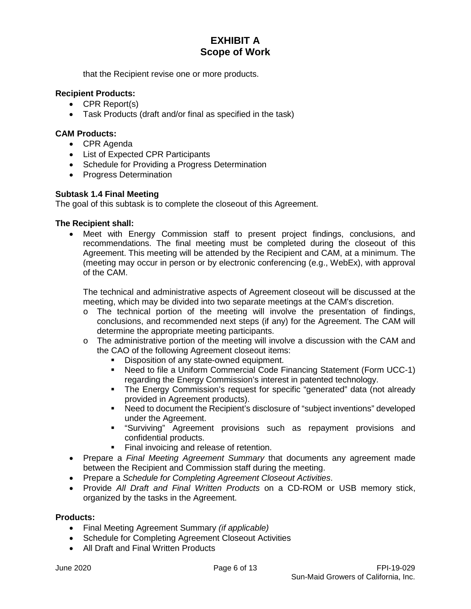that the Recipient revise one or more products.

## **Recipient Products:**

- CPR Report(s)
- Task Products (draft and/or final as specified in the task)

### **CAM Products:**

- CPR Agenda
- List of Expected CPR Participants
- Schedule for Providing a Progress Determination
- Progress Determination

### **Subtask 1.4 Final Meeting**

The goal of this subtask is to complete the closeout of this Agreement.

### **The Recipient shall:**

• Meet with Energy Commission staff to present project findings, conclusions, and recommendations. The final meeting must be completed during the closeout of this Agreement. This meeting will be attended by the Recipient and CAM, at a minimum. The (meeting may occur in person or by electronic conferencing (e.g., WebEx), with approval of the CAM.

The technical and administrative aspects of Agreement closeout will be discussed at the meeting, which may be divided into two separate meetings at the CAM's discretion.

- $\circ$  The technical portion of the meeting will involve the presentation of findings, conclusions, and recommended next steps (if any) for the Agreement. The CAM will determine the appropriate meeting participants.
- o The administrative portion of the meeting will involve a discussion with the CAM and the CAO of the following Agreement closeout items:
	- Disposition of any state-owned equipment.
	- Need to file a Uniform Commercial Code Financing Statement (Form UCC-1) regarding the Energy Commission's interest in patented technology.
	- The Energy Commission's request for specific "generated" data (not already provided in Agreement products).
	- Need to document the Recipient's disclosure of "subject inventions" developed under the Agreement.
	- "Surviving" Agreement provisions such as repayment provisions and confidential products.
	- Final invoicing and release of retention.
- Prepare a *Final Meeting Agreement Summary* that documents any agreement made between the Recipient and Commission staff during the meeting.
- Prepare a *Schedule for Completing Agreement Closeout Activities*.
- Provide *All Draft and Final Written Products* on a CD-ROM or USB memory stick, organized by the tasks in the Agreement.

### **Products:**

- Final Meeting Agreement Summary *(if applicable)*
- Schedule for Completing Agreement Closeout Activities
- All Draft and Final Written Products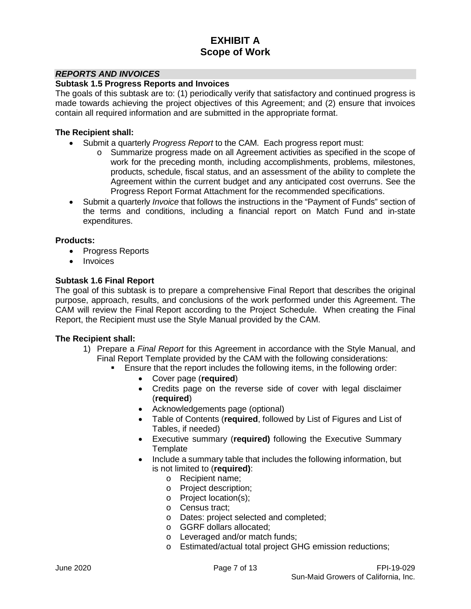### *REPORTS AND INVOICES*

### **Subtask 1.5 Progress Reports and Invoices**

The goals of this subtask are to: (1) periodically verify that satisfactory and continued progress is made towards achieving the project objectives of this Agreement; and (2) ensure that invoices contain all required information and are submitted in the appropriate format.

#### **The Recipient shall:**

- Submit a quarterly *Progress Report* to the CAM. Each progress report must:
	- o Summarize progress made on all Agreement activities as specified in the scope of work for the preceding month, including accomplishments, problems, milestones, products, schedule, fiscal status, and an assessment of the ability to complete the Agreement within the current budget and any anticipated cost overruns. See the Progress Report Format Attachment for the recommended specifications.
- Submit a quarterly *Invoice* that follows the instructions in the "Payment of Funds" section of the terms and conditions, including a financial report on Match Fund and in-state expenditures.

### **Products:**

- Progress Reports
- **Invoices**

### **Subtask 1.6 Final Report**

The goal of this subtask is to prepare a comprehensive Final Report that describes the original purpose, approach, results, and conclusions of the work performed under this Agreement. The CAM will review the Final Report according to the Project Schedule. When creating the Final Report, the Recipient must use the Style Manual provided by the CAM.

- 1) Prepare a *Final Report* for this Agreement in accordance with the Style Manual, and Final Report Template provided by the CAM with the following considerations:
	- Ensure that the report includes the following items, in the following order:
		- Cover page (**required**)
		- Credits page on the reverse side of cover with legal disclaimer (**required**)
		- Acknowledgements page (optional)
		- Table of Contents (**required**, followed by List of Figures and List of Tables, if needed)
		- Executive summary (**required)** following the Executive Summary **Template**
		- Include a summary table that includes the following information, but is not limited to (**required)**:
			- o Recipient name;
			- o Project description;
			- o Project location(s);
			- o Census tract;
			- o Dates: project selected and completed;
			- o GGRF dollars allocated;
			- o Leveraged and/or match funds;
			- o Estimated/actual total project GHG emission reductions;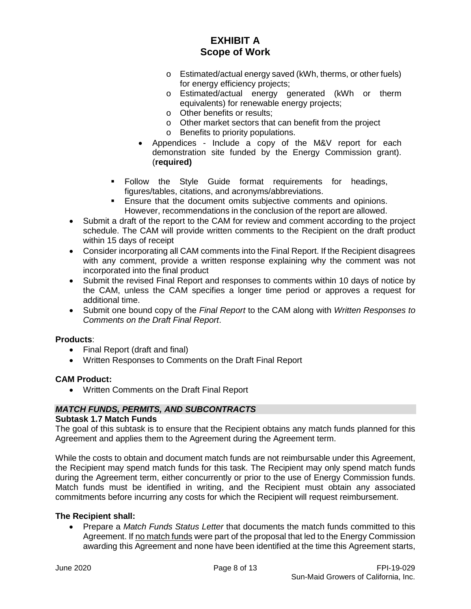- o Estimated/actual energy saved (kWh, therms, or other fuels) for energy efficiency projects;
- o Estimated/actual energy generated (kWh or therm equivalents) for renewable energy projects;
- o Other benefits or results;
- o Other market sectors that can benefit from the project
- o Benefits to priority populations.
- Appendices Include a copy of the M&V report for each demonstration site funded by the Energy Commission grant). (**required)**
- Follow the Style Guide format requirements for headings, figures/tables, citations, and acronyms/abbreviations.
- **Ensure that the document omits subjective comments and opinions.** However, recommendations in the conclusion of the report are allowed.
- Submit a draft of the report to the CAM for review and comment according to the project schedule. The CAM will provide written comments to the Recipient on the draft product within 15 days of receipt
- Consider incorporating all CAM comments into the Final Report. If the Recipient disagrees with any comment, provide a written response explaining why the comment was not incorporated into the final product
- Submit the revised Final Report and responses to comments within 10 days of notice by the CAM, unless the CAM specifies a longer time period or approves a request for additional time.
- Submit one bound copy of the *Final Report* to the CAM along with *Written Responses to Comments on the Draft Final Report*.

### **Products**:

- Final Report (draft and final)
- Written Responses to Comments on the Draft Final Report

### **CAM Product:**

• Written Comments on the Draft Final Report

### *MATCH FUNDS, PERMITS, AND SUBCONTRACTS*

### **Subtask 1.7 Match Funds**

The goal of this subtask is to ensure that the Recipient obtains any match funds planned for this Agreement and applies them to the Agreement during the Agreement term.

While the costs to obtain and document match funds are not reimbursable under this Agreement, the Recipient may spend match funds for this task. The Recipient may only spend match funds during the Agreement term, either concurrently or prior to the use of Energy Commission funds. Match funds must be identified in writing, and the Recipient must obtain any associated commitments before incurring any costs for which the Recipient will request reimbursement.

### **The Recipient shall:**

• Prepare a *Match Funds Status Letter* that documents the match funds committed to this Agreement. If no match funds were part of the proposal that led to the Energy Commission awarding this Agreement and none have been identified at the time this Agreement starts,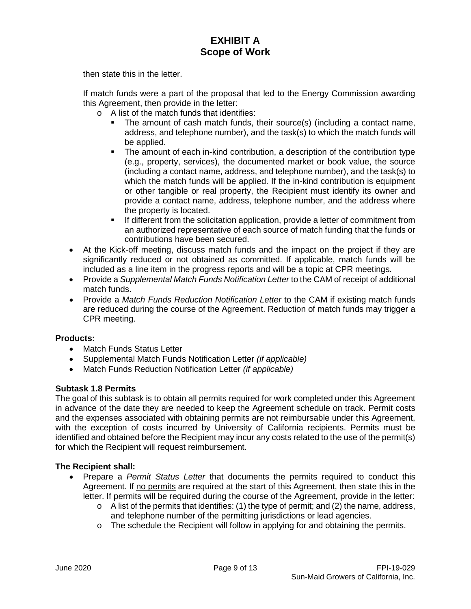then state this in the letter.

If match funds were a part of the proposal that led to the Energy Commission awarding this Agreement, then provide in the letter:

- o A list of the match funds that identifies:
	- The amount of cash match funds, their source(s) (including a contact name, address, and telephone number), and the task(s) to which the match funds will be applied.
	- The amount of each in-kind contribution, a description of the contribution type (e.g., property, services), the documented market or book value, the source (including a contact name, address, and telephone number), and the task(s) to which the match funds will be applied. If the in-kind contribution is equipment or other tangible or real property, the Recipient must identify its owner and provide a contact name, address, telephone number, and the address where the property is located.
	- **If different from the solicitation application, provide a letter of commitment from** an authorized representative of each source of match funding that the funds or contributions have been secured.
- At the Kick-off meeting, discuss match funds and the impact on the project if they are significantly reduced or not obtained as committed. If applicable, match funds will be included as a line item in the progress reports and will be a topic at CPR meetings.
- Provide a *Supplemental Match Funds Notification Letter* to the CAM of receipt of additional match funds.
- Provide a *Match Funds Reduction Notification Letter* to the CAM if existing match funds are reduced during the course of the Agreement. Reduction of match funds may trigger a CPR meeting.

## **Products:**

- Match Funds Status Letter
- Supplemental Match Funds Notification Letter *(if applicable)*
- Match Funds Reduction Notification Letter *(if applicable)*

## **Subtask 1.8 Permits**

The goal of this subtask is to obtain all permits required for work completed under this Agreement in advance of the date they are needed to keep the Agreement schedule on track. Permit costs and the expenses associated with obtaining permits are not reimbursable under this Agreement, with the exception of costs incurred by University of California recipients. Permits must be identified and obtained before the Recipient may incur any costs related to the use of the permit(s) for which the Recipient will request reimbursement.

- Prepare a *Permit Status Letter* that documents the permits required to conduct this Agreement. If no permits are required at the start of this Agreement, then state this in the letter. If permits will be required during the course of the Agreement, provide in the letter:
	- $\circ$  A list of the permits that identifies: (1) the type of permit; and (2) the name, address, and telephone number of the permitting jurisdictions or lead agencies.
	- o The schedule the Recipient will follow in applying for and obtaining the permits.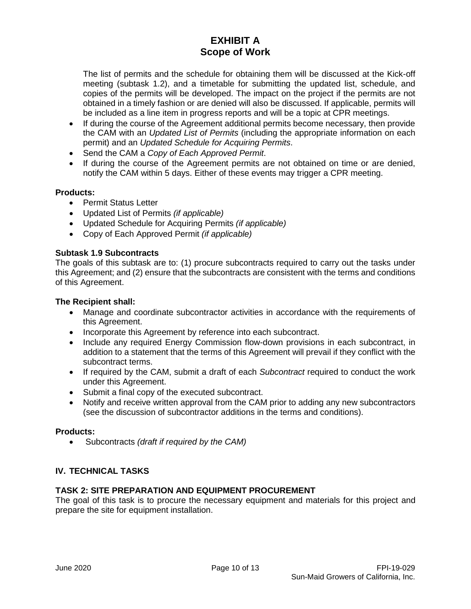The list of permits and the schedule for obtaining them will be discussed at the Kick-off meeting (subtask 1.2), and a timetable for submitting the updated list, schedule, and copies of the permits will be developed. The impact on the project if the permits are not obtained in a timely fashion or are denied will also be discussed. If applicable, permits will be included as a line item in progress reports and will be a topic at CPR meetings.

- If during the course of the Agreement additional permits become necessary, then provide the CAM with an *Updated List of Permits* (including the appropriate information on each permit) and an *Updated Schedule for Acquiring Permits*.
- Send the CAM a *Copy of Each Approved Permit*.
- If during the course of the Agreement permits are not obtained on time or are denied, notify the CAM within 5 days. Either of these events may trigger a CPR meeting.

## **Products:**

- Permit Status Letter
- Updated List of Permits *(if applicable)*
- Updated Schedule for Acquiring Permits *(if applicable)*
- Copy of Each Approved Permit *(if applicable)*

### **Subtask 1.9 Subcontracts**

The goals of this subtask are to: (1) procure subcontracts required to carry out the tasks under this Agreement; and (2) ensure that the subcontracts are consistent with the terms and conditions of this Agreement.

### **The Recipient shall:**

- Manage and coordinate subcontractor activities in accordance with the requirements of this Agreement.
- Incorporate this Agreement by reference into each subcontract.
- Include any required Energy Commission flow-down provisions in each subcontract, in addition to a statement that the terms of this Agreement will prevail if they conflict with the subcontract terms.
- If required by the CAM, submit a draft of each *Subcontract* required to conduct the work under this Agreement.
- Submit a final copy of the executed subcontract.
- Notify and receive written approval from the CAM prior to adding any new subcontractors (see the discussion of subcontractor additions in the terms and conditions).

### **Products:**

• Subcontracts *(draft if required by the CAM)*

## **IV. TECHNICAL TASKS**

## **TASK 2: SITE PREPARATION AND EQUIPMENT PROCUREMENT**

The goal of this task is to procure the necessary equipment and materials for this project and prepare the site for equipment installation.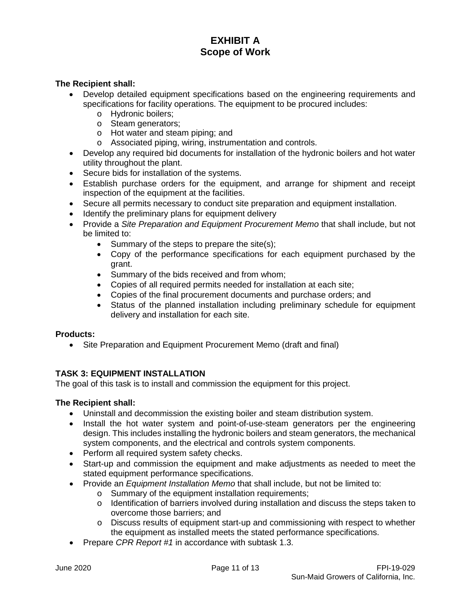### **The Recipient shall:**

- Develop detailed equipment specifications based on the engineering requirements and specifications for facility operations. The equipment to be procured includes:
	- o Hydronic boilers;
	- o Steam generators;
	- o Hot water and steam piping; and
	- o Associated piping, wiring, instrumentation and controls.
- Develop any required bid documents for installation of the hydronic boilers and hot water utility throughout the plant.
- Secure bids for installation of the systems.
- Establish purchase orders for the equipment, and arrange for shipment and receipt inspection of the equipment at the facilities.
- Secure all permits necessary to conduct site preparation and equipment installation.
- Identify the preliminary plans for equipment delivery
- Provide a *Site Preparation and Equipment Procurement Memo* that shall include, but not be limited to:
	- Summary of the steps to prepare the site(s);
	- Copy of the performance specifications for each equipment purchased by the grant.
	- Summary of the bids received and from whom;
	- Copies of all required permits needed for installation at each site;
	- Copies of the final procurement documents and purchase orders; and
	- Status of the planned installation including preliminary schedule for equipment delivery and installation for each site.

## **Products:**

• Site Preparation and Equipment Procurement Memo (draft and final)

## **TASK 3: EQUIPMENT INSTALLATION**

The goal of this task is to install and commission the equipment for this project.

- Uninstall and decommission the existing boiler and steam distribution system.
- Install the hot water system and point-of-use-steam generators per the engineering design. This includes installing the hydronic boilers and steam generators, the mechanical system components, and the electrical and controls system components.
- Perform all required system safety checks.
- Start-up and commission the equipment and make adjustments as needed to meet the stated equipment performance specifications.
- Provide an *Equipment Installation Memo* that shall include, but not be limited to:
	- o Summary of the equipment installation requirements;
	- o Identification of barriers involved during installation and discuss the steps taken to overcome those barriers; and
	- o Discuss results of equipment start-up and commissioning with respect to whether the equipment as installed meets the stated performance specifications.
- Prepare *CPR Report #1* in accordance with subtask 1.3.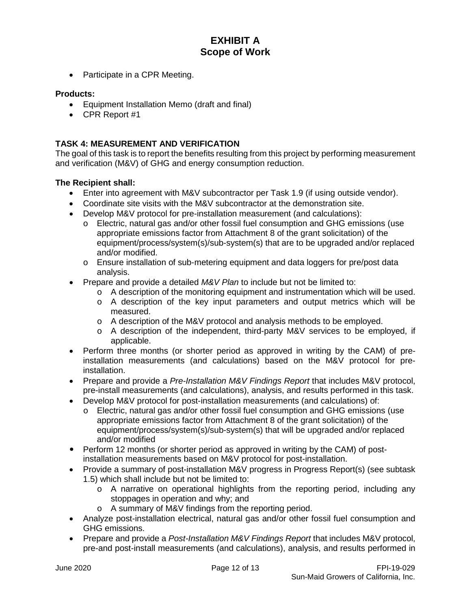• Participate in a CPR Meeting.

### **Products:**

- Equipment Installation Memo (draft and final)
- CPR Report #1

## **TASK 4: MEASUREMENT AND VERIFICATION**

The goal of this task is to report the benefits resulting from this project by performing measurement and verification (M&V) of GHG and energy consumption reduction.

- Enter into agreement with M&V subcontractor per Task 1.9 (if using outside vendor).
- Coordinate site visits with the M&V subcontractor at the demonstration site.
- Develop M&V protocol for pre-installation measurement (and calculations):
	- o Electric, natural gas and/or other fossil fuel consumption and GHG emissions (use appropriate emissions factor from Attachment 8 of the grant solicitation) of the equipment/process/system(s)/sub-system(s) that are to be upgraded and/or replaced and/or modified.
	- o Ensure installation of sub-metering equipment and data loggers for pre/post data analysis.
- Prepare and provide a detailed *M&V Plan* to include but not be limited to:
	- $\circ$  A description of the monitoring equipment and instrumentation which will be used.
	- o A description of the key input parameters and output metrics which will be measured.
	- o A description of the M&V protocol and analysis methods to be employed.
	- o A description of the independent, third-party M&V services to be employed, if applicable.
- Perform three months (or shorter period as approved in writing by the CAM) of preinstallation measurements (and calculations) based on the M&V protocol for preinstallation.
- Prepare and provide a *Pre-Installation M&V Findings Report* that includes M&V protocol, pre-install measurements (and calculations), analysis, and results performed in this task.
- Develop M&V protocol for post-installation measurements (and calculations) of:
	- o Electric, natural gas and/or other fossil fuel consumption and GHG emissions (use appropriate emissions factor from Attachment 8 of the grant solicitation) of the equipment/process/system(s)/sub-system(s) that will be upgraded and/or replaced and/or modified
- Perform 12 months (or shorter period as approved in writing by the CAM) of postinstallation measurements based on M&V protocol for post-installation.
- Provide a summary of post-installation M&V progress in Progress Report(s) (see subtask 1.5) which shall include but not be limited to:
	- o A narrative on operational highlights from the reporting period, including any stoppages in operation and why; and
	- o A summary of M&V findings from the reporting period.
- Analyze post-installation electrical, natural gas and/or other fossil fuel consumption and GHG emissions.
- Prepare and provide a *Post-Installation M&V Findings Report* that includes M&V protocol, pre-and post-install measurements (and calculations), analysis, and results performed in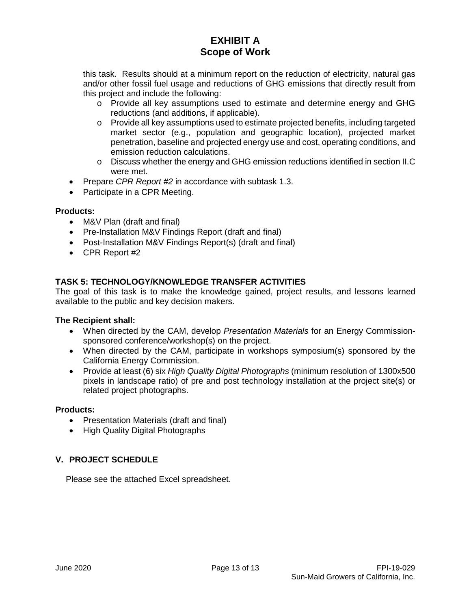this task. Results should at a minimum report on the reduction of electricity, natural gas and/or other fossil fuel usage and reductions of GHG emissions that directly result from this project and include the following:

- o Provide all key assumptions used to estimate and determine energy and GHG reductions (and additions, if applicable).
- o Provide all key assumptions used to estimate projected benefits, including targeted market sector (e.g., population and geographic location), projected market penetration, baseline and projected energy use and cost, operating conditions, and emission reduction calculations.
- o Discuss whether the energy and GHG emission reductions identified in section II.C were met.
- Prepare *CPR Report #2* in accordance with subtask 1.3.
- Participate in a CPR Meeting.

## **Products:**

- M&V Plan (draft and final)
- Pre-Installation M&V Findings Report (draft and final)
- Post-Installation M&V Findings Report(s) (draft and final)
- CPR Report #2

## **TASK 5: TECHNOLOGY/KNOWLEDGE TRANSFER ACTIVITIES**

The goal of this task is to make the knowledge gained, project results, and lessons learned available to the public and key decision makers.

### **The Recipient shall:**

- When directed by the CAM, develop *Presentation Materials* for an Energy Commissionsponsored conference/workshop(s) on the project.
- When directed by the CAM, participate in workshops symposium(s) sponsored by the California Energy Commission.
- Provide at least (6) six *High Quality Digital Photographs* (minimum resolution of 1300x500 pixels in landscape ratio) of pre and post technology installation at the project site(s) or related project photographs.

### **Products:**

- Presentation Materials (draft and final)
- High Quality Digital Photographs

## **V. PROJECT SCHEDULE**

Please see the attached Excel spreadsheet.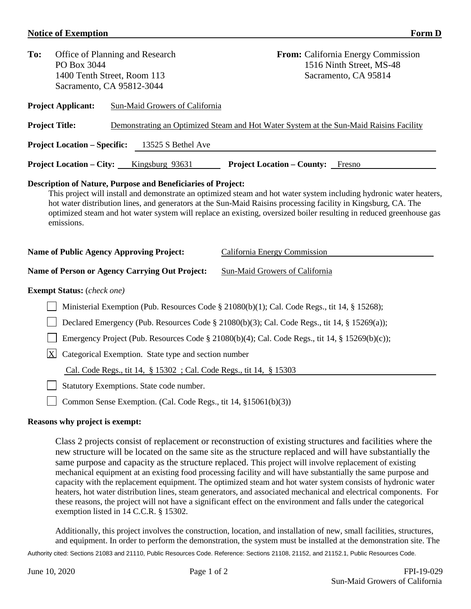### **Notice of Exemption** Form D

| To:<br>Office of Planning and Research<br>PO Box 3044<br>1400 Tenth Street, Room 113<br>Sacramento, CA 95812-3044 |                                                                                                |  |                                                                     | From: California Energy Commission<br>1516 Ninth Street, MS-48<br>Sacramento, CA 95814                                                                                                                                                                                                                                                                                                       |  |  |
|-------------------------------------------------------------------------------------------------------------------|------------------------------------------------------------------------------------------------|--|---------------------------------------------------------------------|----------------------------------------------------------------------------------------------------------------------------------------------------------------------------------------------------------------------------------------------------------------------------------------------------------------------------------------------------------------------------------------------|--|--|
|                                                                                                                   | <b>Project Applicant:</b>                                                                      |  | <b>Sun-Maid Growers of California</b>                               |                                                                                                                                                                                                                                                                                                                                                                                              |  |  |
| <b>Project Title:</b>                                                                                             |                                                                                                |  |                                                                     | Demonstrating an Optimized Steam and Hot Water System at the Sun-Maid Raisins Facility                                                                                                                                                                                                                                                                                                       |  |  |
|                                                                                                                   | <b>Project Location – Specific:</b>                                                            |  | 13525 S Bethel Ave                                                  |                                                                                                                                                                                                                                                                                                                                                                                              |  |  |
|                                                                                                                   | <b>Project Location – City:</b>                                                                |  | Kingsburg 93631                                                     | <b>Project Location – County:</b> Fresno                                                                                                                                                                                                                                                                                                                                                     |  |  |
|                                                                                                                   | emissions.<br><b>Name of Public Agency Approving Project:</b>                                  |  |                                                                     | This project will install and demonstrate an optimized steam and hot water system including hydronic water heaters,<br>hot water distribution lines, and generators at the Sun-Maid Raisins processing facility in Kingsburg, CA. The<br>optimized steam and hot water system will replace an existing, oversized boiler resulting in reduced greenhouse gas<br>California Energy Commission |  |  |
|                                                                                                                   |                                                                                                |  | <b>Name of Person or Agency Carrying Out Project:</b>               | <b>Sun-Maid Growers of California</b>                                                                                                                                                                                                                                                                                                                                                        |  |  |
|                                                                                                                   | <b>Exempt Status:</b> (check one)                                                              |  |                                                                     |                                                                                                                                                                                                                                                                                                                                                                                              |  |  |
|                                                                                                                   |                                                                                                |  |                                                                     | Ministerial Exemption (Pub. Resources Code § 21080(b)(1); Cal. Code Regs., tit 14, § 15268);                                                                                                                                                                                                                                                                                                 |  |  |
|                                                                                                                   | Declared Emergency (Pub. Resources Code § 21080(b)(3); Cal. Code Regs., tit 14, § 15269(a));   |  |                                                                     |                                                                                                                                                                                                                                                                                                                                                                                              |  |  |
|                                                                                                                   | Emergency Project (Pub. Resources Code § 21080(b)(4); Cal. Code Regs., tit 14, § 15269(b)(c)); |  |                                                                     |                                                                                                                                                                                                                                                                                                                                                                                              |  |  |
| X                                                                                                                 |                                                                                                |  | Categorical Exemption. State type and section number                |                                                                                                                                                                                                                                                                                                                                                                                              |  |  |
|                                                                                                                   |                                                                                                |  | Cal. Code Regs., tit 14, § 15302 ; Cal. Code Regs., tit 14, § 15303 |                                                                                                                                                                                                                                                                                                                                                                                              |  |  |
|                                                                                                                   |                                                                                                |  | Statutory Exemptions. State code number.                            |                                                                                                                                                                                                                                                                                                                                                                                              |  |  |

□ Common Sense Exemption. (Cal. Code Regs., tit 14, §15061(b)(3))

### **Reasons why project is exempt:**

Class 2 projects consist of replacement or reconstruction of existing structures and facilities where the new structure will be located on the same site as the structure replaced and will have substantially the same purpose and capacity as the structure replaced. This project will involve replacement of existing mechanical equipment at an existing food processing facility and will have substantially the same purpose and capacity with the replacement equipment. The optimized steam and hot water system consists of hydronic water heaters, hot water distribution lines, steam generators, and associated mechanical and electrical components. For these reasons, the project will not have a significant effect on the environment and falls under the categorical exemption listed in 14 C.C.R. § 15302.

Additionally, this project involves the construction, location, and installation of new, small facilities, structures, and equipment. In order to perform the demonstration, the system must be installed at the demonstration site. The

Authority cited: Sections 21083 and 21110, Public Resources Code. Reference: Sections 21108, 21152, and 21152.1, Public Resources Code.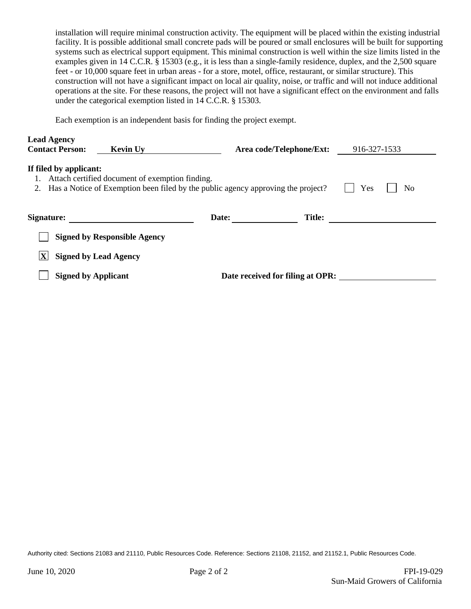installation will require minimal construction activity. The equipment will be placed within the existing industrial facility. It is possible additional small concrete pads will be poured or small enclosures will be built for supporting systems such as electrical support equipment. This minimal construction is well within the size limits listed in the examples given in 14 C.C.R. § 15303 (e.g., it is less than a single-family residence, duplex, and the 2,500 square feet - or 10,000 square feet in urban areas - for a store, motel, office, restaurant, or similar structure). This construction will not have a significant impact on local air quality, noise, or traffic and will not induce additional operations at the site. For these reasons, the project will not have a significant effect on the environment and falls under the categorical exemption listed in 14 C.C.R. § 15303.

Each exemption is an independent basis for finding the project exempt.

| <b>Lead Agency</b><br><b>Contact Person:</b>                                                                                                                                     | <b>Kevin Uy</b>                     |       | Area code/Telephone/Ext:         | 916-327-1533 |  |  |  |
|----------------------------------------------------------------------------------------------------------------------------------------------------------------------------------|-------------------------------------|-------|----------------------------------|--------------|--|--|--|
| If filed by applicant:<br>Attach certified document of exemption finding.<br>Yes<br>Has a Notice of Exemption been filed by the public agency approving the project?<br>No<br>2. |                                     |       |                                  |              |  |  |  |
| Signature:                                                                                                                                                                       |                                     | Date: | <b>Title:</b>                    |              |  |  |  |
|                                                                                                                                                                                  | <b>Signed by Responsible Agency</b> |       |                                  |              |  |  |  |
|                                                                                                                                                                                  | <b>Signed by Lead Agency</b>        |       |                                  |              |  |  |  |
| <b>Signed by Applicant</b>                                                                                                                                                       |                                     |       | Date received for filing at OPR: |              |  |  |  |

Authority cited: Sections 21083 and 21110, Public Resources Code. Reference: Sections 21108, 21152, and 21152.1, Public Resources Code.